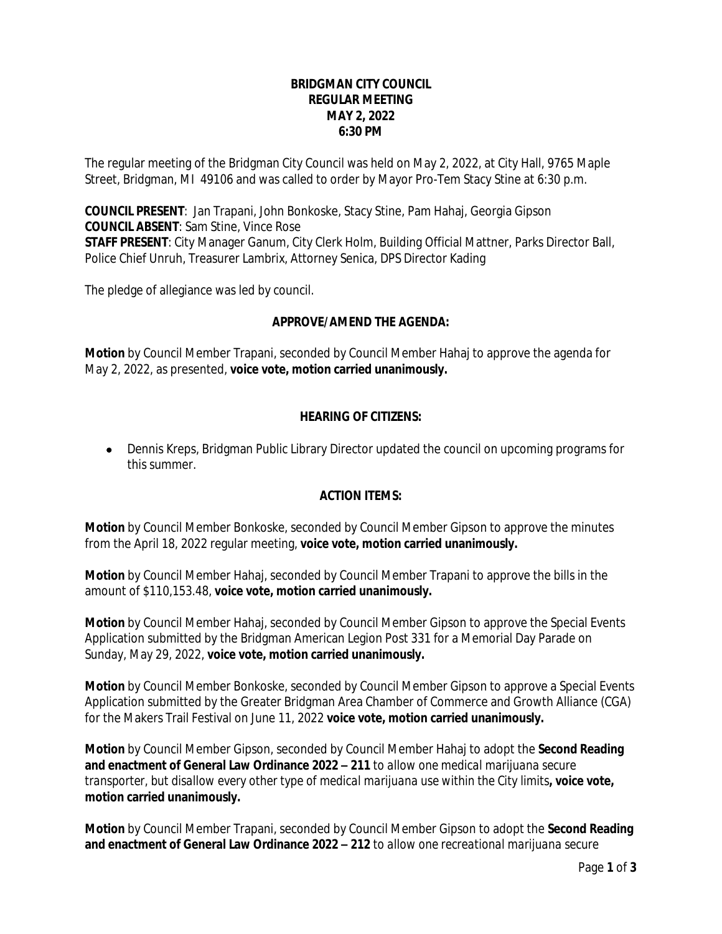#### **BRIDGMAN CITY COUNCIL REGULAR MEETING MAY 2, 2022 6:30 PM**

The regular meeting of the Bridgman City Council was held on May 2, 2022, at City Hall, 9765 Maple Street, Bridgman, MI 49106 and was called to order by Mayor Pro-Tem Stacy Stine at 6:30 p.m.

**COUNCIL PRESENT**: Jan Trapani, John Bonkoske, Stacy Stine, Pam Hahaj, Georgia Gipson **COUNCIL ABSENT**: Sam Stine, Vince Rose **STAFF PRESENT**: City Manager Ganum, City Clerk Holm, Building Official Mattner, Parks Director Ball, Police Chief Unruh, Treasurer Lambrix, Attorney Senica, DPS Director Kading

The pledge of allegiance was led by council.

## **APPROVE/AMEND THE AGENDA:**

**Motion** by Council Member Trapani, seconded by Council Member Hahaj to approve the agenda for May 2, 2022, as presented, **voice vote, motion carried unanimously.**

## **HEARING OF CITIZENS:**

 Dennis Kreps, Bridgman Public Library Director updated the council on upcoming programs for this summer.

## **ACTION ITEMS:**

**Motion** by Council Member Bonkoske, seconded by Council Member Gipson to approve the minutes from the April 18, 2022 regular meeting, **voice vote, motion carried unanimously.**

**Motion** by Council Member Hahaj, seconded by Council Member Trapani to approve the bills in the amount of \$110,153.48, **voice vote, motion carried unanimously.**

**Motion** by Council Member Hahaj, seconded by Council Member Gipson to approve the Special Events Application submitted by the Bridgman American Legion Post 331 for a Memorial Day Parade on Sunday, May 29, 2022, **voice vote, motion carried unanimously.**

**Motion** by Council Member Bonkoske, seconded by Council Member Gipson to approve a Special Events Application submitted by the Greater Bridgman Area Chamber of Commerce and Growth Alliance (CGA) for the Makers Trail Festival on June 11, 2022 **voice vote, motion carried unanimously.**

**Motion** by Council Member Gipson, seconded by Council Member Hahaj to adopt the **Second Reading and enactment of General Law Ordinance 2022 – 211** *to allow one medical marijuana secure transporter, but disallow every other type of medical marijuana use within the City limits***, voice vote, motion carried unanimously.**

**Motion** by Council Member Trapani, seconded by Council Member Gipson to adopt the **Second Reading and enactment of General Law Ordinance 2022 – 212** *to allow one recreational marijuana secure*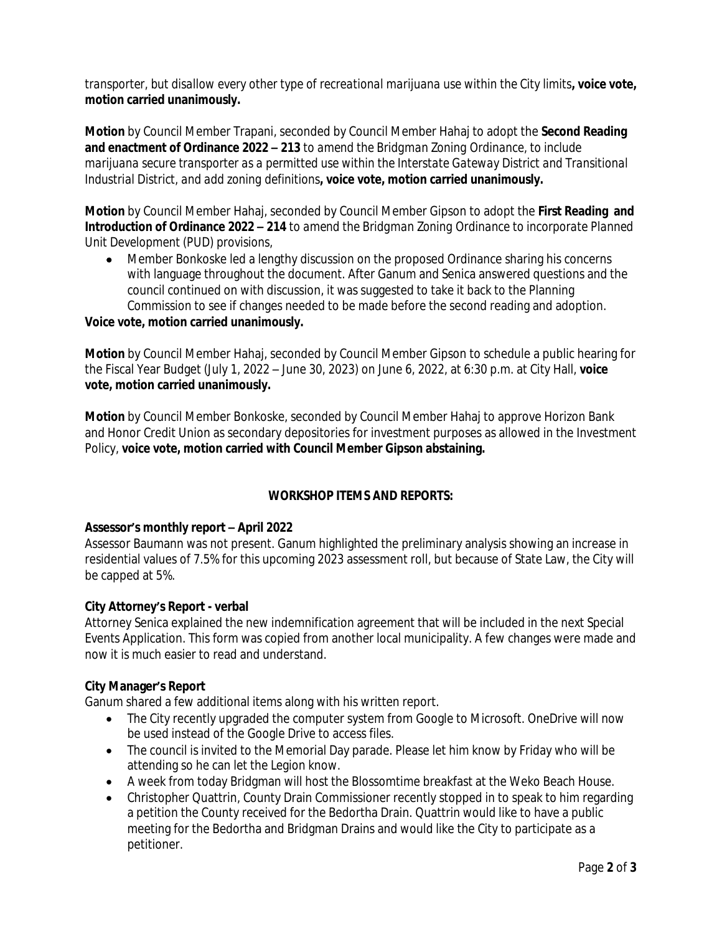*transporter, but disallow every other type of recreational marijuana use within the City limits***, voice vote, motion carried unanimously.**

**Motion** by Council Member Trapani, seconded by Council Member Hahaj to adopt the **Second Reading and enactment of Ordinance 2022 – 213** *to amend the Bridgman Zoning Ordinance, to include marijuana secure transporter as a permitted use within the Interstate Gateway District and Transitional Industrial District, and add zoning definitions***, voice vote, motion carried unanimously.**

**Motion** by Council Member Hahaj, seconded by Council Member Gipson to adopt the **First Reading and Introduction of Ordinance 2022 – 214** *to amend the Bridgman Zoning Ordinance to incorporate Planned Unit Development (PUD) provisions,*

 Member Bonkoske led a lengthy discussion on the proposed Ordinance sharing his concerns with language throughout the document. After Ganum and Senica answered questions and the council continued on with discussion, it was suggested to take it back to the Planning Commission to see if changes needed to be made before the second reading and adoption.

#### **Voice vote, motion carried unanimously.**

**Motion** by Council Member Hahaj, seconded by Council Member Gipson to schedule a public hearing for the Fiscal Year Budget (July 1, 2022 – June 30, 2023) on June 6, 2022, at 6:30 p.m. at City Hall, **voice vote, motion carried unanimously.**

**Motion** by Council Member Bonkoske, seconded by Council Member Hahaj to approve Horizon Bank and Honor Credit Union as secondary depositories for investment purposes as allowed in the Investment Policy, **voice vote, motion carried with Council Member Gipson abstaining.**

## **WORKSHOP ITEMS AND REPORTS:**

## **Assessor's monthly report – April 2022**

Assessor Baumann was not present. Ganum highlighted the preliminary analysis showing an increase in residential values of 7.5% for this upcoming 2023 assessment roll, but because of State Law, the City will be capped at 5%.

#### **City Attorney's Report - verbal**

Attorney Senica explained the new indemnification agreement that will be included in the next Special Events Application. This form was copied from another local municipality. A few changes were made and now it is much easier to read and understand.

#### **City Manager's Report**

Ganum shared a few additional items along with his written report.

- The City recently upgraded the computer system from Google to Microsoft. OneDrive will now be used instead of the Google Drive to access files.
- The council is invited to the Memorial Day parade. Please let him know by Friday who will be attending so he can let the Legion know.
- A week from today Bridgman will host the Blossomtime breakfast at the Weko Beach House.
- Christopher Quattrin, County Drain Commissioner recently stopped in to speak to him regarding a petition the County received for the Bedortha Drain. Quattrin would like to have a public meeting for the Bedortha and Bridgman Drains and would like the City to participate as a petitioner.